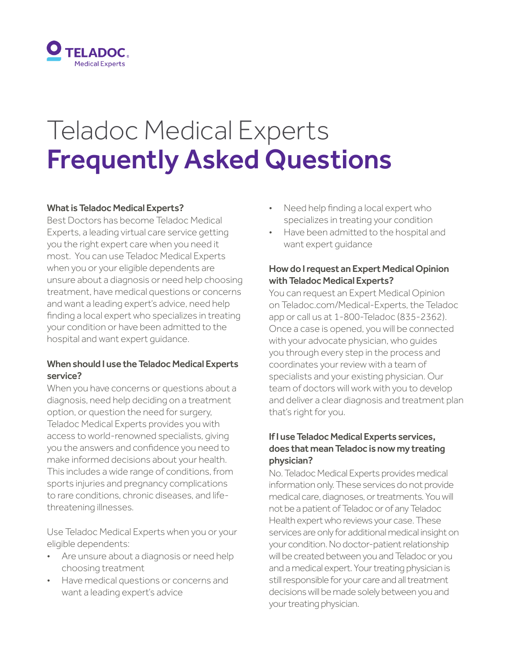

# Teladoc Medical Experts Frequently Asked Questions

#### What is Teladoc Medical Experts?

Best Doctors has become Teladoc Medical Experts, a leading virtual care service getting you the right expert care when you need it most. You can use Teladoc Medical Experts when you or your eligible dependents are unsure about a diagnosis or need help choosing treatment, have medical questions or concerns and want a leading expert's advice, need help finding a local expert who specializes in treating your condition or have been admitted to the hospital and want expert guidance.

# When should I use the Teladoc Medical Experts service?

When you have concerns or questions about a diagnosis, need help deciding on a treatment option, or question the need for surgery, Teladoc Medical Experts provides you with access to world-renowned specialists, giving you the answers and confidence you need to make informed decisions about your health. This includes a wide range of conditions, from sports injuries and pregnancy complications to rare conditions, chronic diseases, and lifethreatening illnesses.

Use Teladoc Medical Experts when you or your eligible dependents:

- Are unsure about a diagnosis or need help choosing treatment
- Have medical questions or concerns and want a leading expert's advice
- Need help finding a local expert who specializes in treating your condition
- Have been admitted to the hospital and want expert guidance

# How do I request an Expert Medical Opinion with Teladoc Medical Experts?

You can request an Expert Medical Opinion on Teladoc.com/Medical-Experts, the Teladoc app or call us at 1-800-Teladoc (835-2362). Once a case is opened, you will be connected with your advocate physician, who guides you through every step in the process and coordinates your review with a team of specialists and your existing physician. Our team of doctors will work with you to develop and deliver a clear diagnosis and treatment plan that's right for you.

# If I use Teladoc Medical Experts services, does that mean Teladoc is now my treating physician?

No. Teladoc Medical Experts provides medical information only. These services do not provide medical care, diagnoses, or treatments. You will not be a patient of Teladoc or of any Teladoc Health expert who reviews your case. These services are only for additional medical insight on your condition. No doctor-patient relationship will be created between you and Teladoc or you and a medical expert. Your treating physician is still responsible for your care and all treatment decisions will be made solely between you and your treating physician.